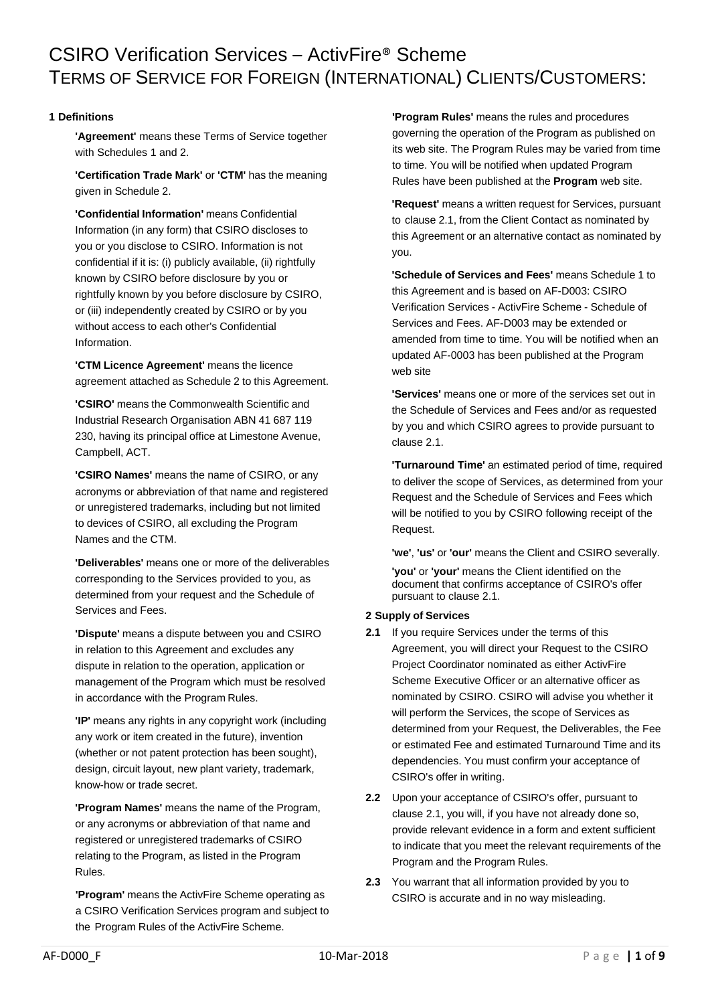# CSIRO Verification Services – ActivFire® Scheme TERMS OF SERVICE FOR FOREIGN (INTERNATIONAL) CLIENTS/CUSTOMERS:

# **1 Definitions**

**'Agreement'** means these Terms of Service together with Schedules 1 and 2.

**'Certification Trade Mark'** or **'CTM'** has the meaning given in Schedule 2.

**'Confidential Information'** means Confidential Information (in any form) that CSIRO discloses to you or you disclose to CSIRO. Information is not confidential if it is: (i) publicly available, (ii) rightfully known by CSIRO before disclosure by you or rightfully known by you before disclosure by CSIRO, or (iii) independently created by CSIRO or by you without access to each other's Confidential Information.

**'CTM Licence Agreement'** means the licence agreement attached as Schedule 2 to this Agreement.

**'CSIRO'** means the Commonwealth Scientific and Industrial Research Organisation ABN 41 687 119 230, having its principal office at Limestone Avenue, Campbell, ACT.

**'CSIRO Names'** means the name of CSIRO, or any acronyms or abbreviation of that name and registered or unregistered trademarks, including but not limited to devices of CSIRO, all excluding the Program Names and the CTM.

**'Deliverables'** means one or more of the deliverables corresponding to the Services provided to you, as determined from your request and the Schedule of Services and Fees.

**'Dispute'** means a dispute between you and CSIRO in relation to this Agreement and excludes any dispute in relation to the operation, application or management of the Program which must be resolved in accordance with the Program Rules.

**'IP'** means any rights in any copyright work (including any work or item created in the future), invention (whether or not patent protection has been sought), design, circuit layout, new plant variety, trademark, know-how or trade secret.

**'Program Names'** means the name of the Program, or any acronyms or abbreviation of that name and registered or unregistered trademarks of CSIRO relating to the Program, as listed in the Program Rules.

**'Program'** means the ActivFire Scheme operating as a CSIRO Verification Services program and subject to the Program Rules of the ActivFire Scheme.

**'Program Rules'** means the rules and procedures governing the operation of the Program as published on its web site. The Program Rules may be varied from time to time. You will be notified when updated Program Rules have been published at the **Program** web site.

**'Request'** means a written request for Services, pursuant to clause 2.1, from the Client Contact as nominated by this Agreement or an alternative contact as nominated by you.

**'Schedule of Services and Fees'** means Schedule 1 to this Agreement and is based on AF-D003: CSIRO Verification Services - ActivFire Scheme - Schedule of Services and Fees. AF-D003 may be extended or amended from time to time. You will be notified when an updated AF-0003 has been published at the Program web site

**'Services'** means one or more of the services set out in the Schedule of Services and Fees and/or as requested by you and which CSIRO agrees to provide pursuant to clause 2.1.

**'Turnaround Time'** an estimated period of time, required to deliver the scope of Services, as determined from your Request and the Schedule of Services and Fees which will be notified to you by CSIRO following receipt of the Request.

**'we'**, **'us'** or **'our'** means the Client and CSIRO severally.

**'you'** or **'your'** means the Client identified on the document that confirms acceptance of CSIRO's offer pursuant to clause 2.1.

## **2 Supply of Services**

- **2.1** If you require Services under the terms of this Agreement, you will direct your Request to the CSIRO Project Coordinator nominated as either ActivFire Scheme Executive Officer or an alternative officer as nominated by CSIRO. CSIRO will advise you whether it will perform the Services, the scope of Services as determined from your Request, the Deliverables, the Fee or estimated Fee and estimated Turnaround Time and its dependencies. You must confirm your acceptance of CSIRO's offer in writing.
- **2.2** Upon your acceptance of CSIRO's offer, pursuant to clause 2.1, you will, if you have not already done so, provide relevant evidence in a form and extent sufficient to indicate that you meet the relevant requirements of the Program and the Program Rules.
- **2.3** You warrant that all information provided by you to CSIRO is accurate and in no way misleading.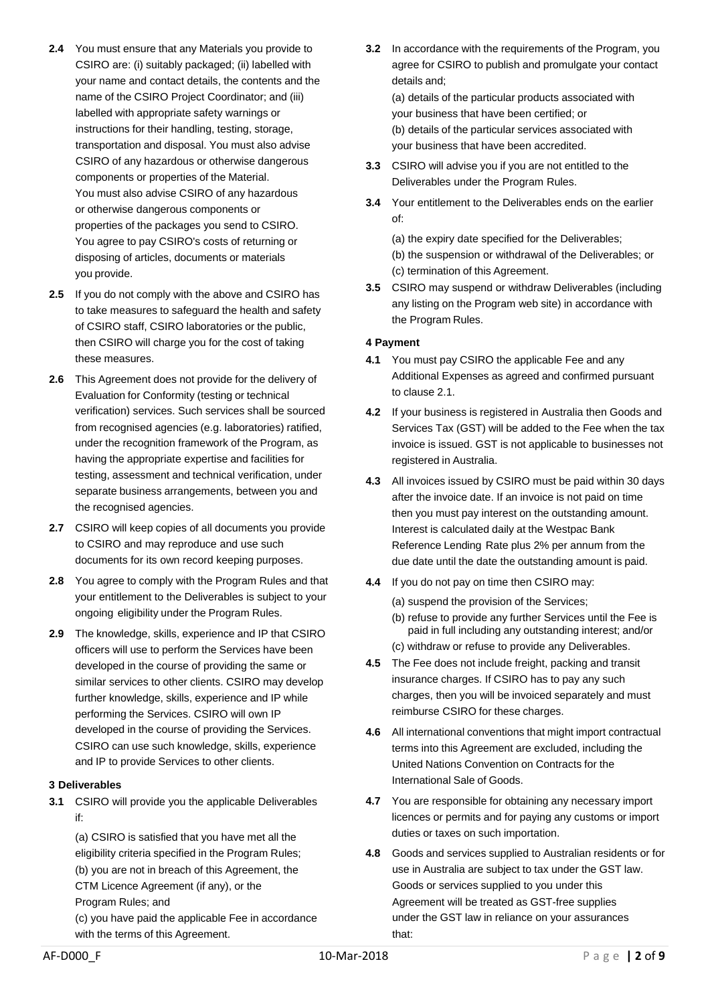- **2.4** You must ensure that any Materials you provide to CSIRO are: (i) suitably packaged; (ii) labelled with your name and contact details, the contents and the name of the CSIRO Project Coordinator; and (iii) labelled with appropriate safety warnings or instructions for their handling, testing, storage, transportation and disposal. You must also advise CSIRO of any hazardous or otherwise dangerous components or properties of the Material. You must also advise CSIRO of any hazardous or otherwise dangerous components or properties of the packages you send to CSIRO. You agree to pay CSIRO's costs of returning or disposing of articles, documents or materials you provide.
- **2.5** If you do not comply with the above and CSIRO has to take measures to safeguard the health and safety of CSIRO staff, CSIRO laboratories or the public, then CSIRO will charge you for the cost of taking these measures.
- **2.6** This Agreement does not provide for the delivery of Evaluation for Conformity (testing or technical verification) services. Such services shall be sourced from recognised agencies (e.g. laboratories) ratified, under the recognition framework of the Program, as having the appropriate expertise and facilities for testing, assessment and technical verification, under separate business arrangements, between you and the recognised agencies.
- **2.7** CSIRO will keep copies of all documents you provide to CSIRO and may reproduce and use such documents for its own record keeping purposes.
- **2.8** You agree to comply with the Program Rules and that your entitlement to the Deliverables is subject to your ongoing eligibility under the Program Rules.
- **2.9** The knowledge, skills, experience and IP that CSIRO officers will use to perform the Services have been developed in the course of providing the same or similar services to other clients. CSIRO may develop further knowledge, skills, experience and IP while performing the Services. CSIRO will own IP developed in the course of providing the Services. CSIRO can use such knowledge, skills, experience and IP to provide Services to other clients.

## **3 Deliverables**

**3.1** CSIRO will provide you the applicable Deliverables if:

(a) CSIRO is satisfied that you have met all the eligibility criteria specified in the Program Rules; (b) you are not in breach of this Agreement, the CTM Licence Agreement (if any), or the Program Rules; and (c) you have paid the applicable Fee in accordance with the terms of this Agreement.

**3.2** In accordance with the requirements of the Program, you agree for CSIRO to publish and promulgate your contact details and;

(a) details of the particular products associated with your business that have been certified; or (b) details of the particular services associated with your business that have been accredited.

- **3.3** CSIRO will advise you if you are not entitled to the Deliverables under the Program Rules.
- **3.4** Your entitlement to the Deliverables ends on the earlier of:

(a) the expiry date specified for the Deliverables; (b) the suspension or withdrawal of the Deliverables; or (c) termination of this Agreement.

**3.5** CSIRO may suspend or withdraw Deliverables (including any listing on the Program web site) in accordance with the Program Rules.

# **4 Payment**

- **4.1** You must pay CSIRO the applicable Fee and any Additional Expenses as agreed and confirmed pursuant to clause 2.1.
- **4.2** If your business is registered in Australia then Goods and Services Tax (GST) will be added to the Fee when the tax invoice is issued. GST is not applicable to businesses not registered in Australia.
- **4.3** All invoices issued by CSIRO must be paid within 30 days after the invoice date. If an invoice is not paid on time then you must pay interest on the outstanding amount. Interest is calculated daily at the Westpac Bank Reference Lending Rate plus 2% per annum from the due date until the date the outstanding amount is paid.
- **4.4** If you do not pay on time then CSIRO may:
	- (a) suspend the provision of the Services;
	- (b) refuse to provide any further Services until the Fee is paid in full including any outstanding interest; and/or (c) withdraw or refuse to provide any Deliverables.
- **4.5** The Fee does not include freight, packing and transit insurance charges. If CSIRO has to pay any such charges, then you will be invoiced separately and must reimburse CSIRO for these charges.
- **4.6** All international conventions that might import contractual terms into this Agreement are excluded, including the United Nations Convention on Contracts for the International Sale of Goods.
- **4.7** You are responsible for obtaining any necessary import licences or permits and for paying any customs or import duties or taxes on such importation.
- **4.8** Goods and services supplied to Australian residents or for use in Australia are subject to tax under the GST law. Goods or services supplied to you under this Agreement will be treated as GST-free supplies under the GST law in reliance on your assurances that: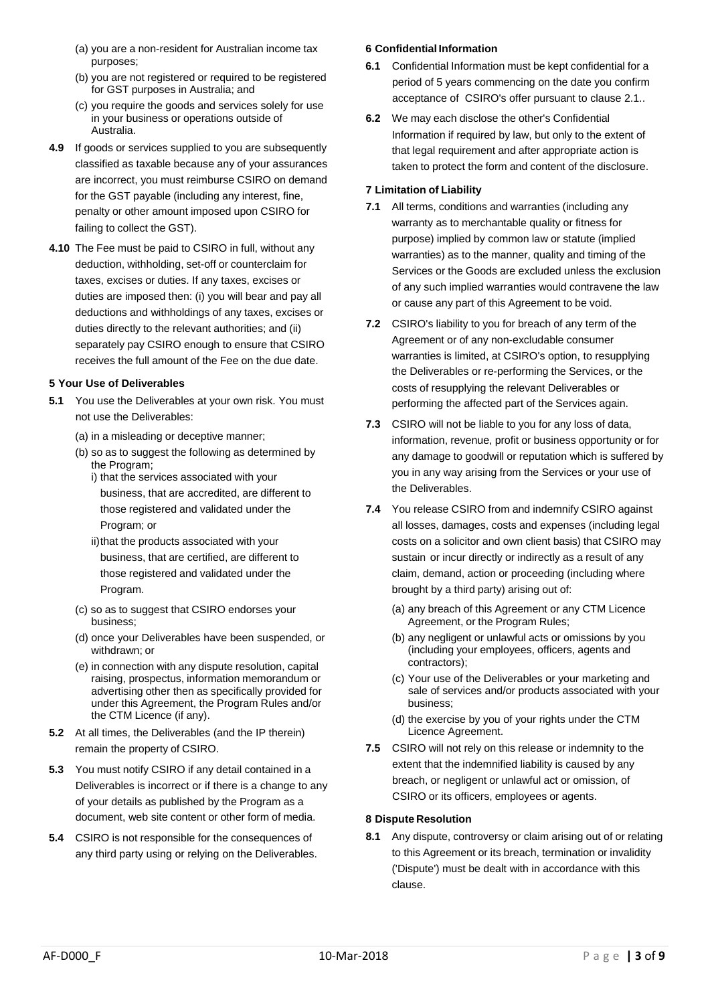- (a) you are a non-resident for Australian income tax purposes;
- (b) you are not registered or required to be registered for GST purposes in Australia; and
- (c) you require the goods and services solely for use in your business or operations outside of Australia.
- **4.9** If goods or services supplied to you are subsequently classified as taxable because any of your assurances are incorrect, you must reimburse CSIRO on demand for the GST payable (including any interest, fine, penalty or other amount imposed upon CSIRO for failing to collect the GST).
- **4.10** The Fee must be paid to CSIRO in full, without any deduction, withholding, set-off or counterclaim for taxes, excises or duties. If any taxes, excises or duties are imposed then: (i) you will bear and pay all deductions and withholdings of any taxes, excises or duties directly to the relevant authorities; and (ii) separately pay CSIRO enough to ensure that CSIRO receives the full amount of the Fee on the due date.

# **5 Your Use of Deliverables**

- **5.1** You use the Deliverables at your own risk. You must not use the Deliverables:
	- (a) in a misleading or deceptive manner;
	- (b) so as to suggest the following as determined by the Program; i) that the services associated with your
		- business, that are accredited, are different to those registered and validated under the Program; or
		- ii)that the products associated with your business, that are certified, are different to those registered and validated under the Program.
	- (c) so as to suggest that CSIRO endorses your business;
	- (d) once your Deliverables have been suspended, or withdrawn; or
	- (e) in connection with any dispute resolution, capital raising, prospectus, information memorandum or advertising other then as specifically provided for under this Agreement, the Program Rules and/or the CTM Licence (if any).
- **5.2** At all times, the Deliverables (and the IP therein) remain the property of CSIRO.
- **5.3** You must notify CSIRO if any detail contained in a Deliverables is incorrect or if there is a change to any of your details as published by the Program as a document, web site content or other form of media.
- **5.4** CSIRO is not responsible for the consequences of any third party using or relying on the Deliverables.

# **6 Confidential Information**

- **6.1** Confidential Information must be kept confidential for a period of 5 years commencing on the date you confirm acceptance of CSIRO's offer pursuant to clause 2.1..
- **6.2** We may each disclose the other's Confidential Information if required by law, but only to the extent of that legal requirement and after appropriate action is taken to protect the form and content of the disclosure.

# **7 Limitation of Liability**

- **7.1** All terms, conditions and warranties (including any warranty as to merchantable quality or fitness for purpose) implied by common law or statute (implied warranties) as to the manner, quality and timing of the Services or the Goods are excluded unless the exclusion of any such implied warranties would contravene the law or cause any part of this Agreement to be void.
- **7.2** CSIRO's liability to you for breach of any term of the Agreement or of any non-excludable consumer warranties is limited, at CSIRO's option, to resupplying the Deliverables or re-performing the Services, or the costs of resupplying the relevant Deliverables or performing the affected part of the Services again.
- **7.3** CSIRO will not be liable to you for any loss of data, information, revenue, profit or business opportunity or for any damage to goodwill or reputation which is suffered by you in any way arising from the Services or your use of the Deliverables.
- **7.4** You release CSIRO from and indemnify CSIRO against all losses, damages, costs and expenses (including legal costs on a solicitor and own client basis) that CSIRO may sustain or incur directly or indirectly as a result of any claim, demand, action or proceeding (including where brought by a third party) arising out of:
	- (a) any breach of this Agreement or any CTM Licence Agreement, or the Program Rules;
	- (b) any negligent or unlawful acts or omissions by you (including your employees, officers, agents and contractors);
	- (c) Your use of the Deliverables or your marketing and sale of services and/or products associated with your business;
	- (d) the exercise by you of your rights under the CTM Licence Agreement.
- **7.5** CSIRO will not rely on this release or indemnity to the extent that the indemnified liability is caused by any breach, or negligent or unlawful act or omission, of CSIRO or its officers, employees or agents.

## **8 Dispute Resolution**

**8.1** Any dispute, controversy or claim arising out of or relating to this Agreement or its breach, termination or invalidity ('Dispute') must be dealt with in accordance with this clause.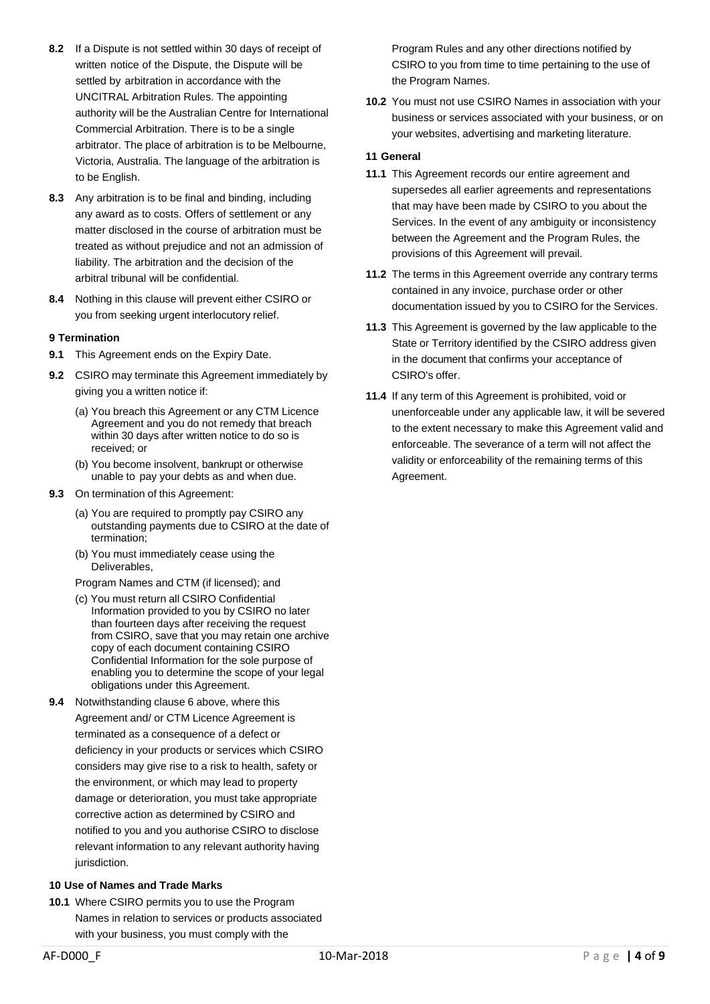- **8.2** If a Dispute is not settled within 30 days of receipt of written notice of the Dispute, the Dispute will be settled by arbitration in accordance with the UNCITRAL Arbitration Rules. The appointing authority will be the Australian Centre for International Commercial Arbitration. There is to be a single arbitrator. The place of arbitration is to be Melbourne, Victoria, Australia. The language of the arbitration is to be English.
- **8.3** Any arbitration is to be final and binding, including any award as to costs. Offers of settlement or any matter disclosed in the course of arbitration must be treated as without prejudice and not an admission of liability. The arbitration and the decision of the arbitral tribunal will be confidential.
- **8.4** Nothing in this clause will prevent either CSIRO or you from seeking urgent interlocutory relief.

## **9 Termination**

- **9.1** This Agreement ends on the Expiry Date.
- **9.2** CSIRO may terminate this Agreement immediately by giving you a written notice if:
	- (a) You breach this Agreement or any CTM Licence Agreement and you do not remedy that breach within 30 days after written notice to do so is received; or
	- (b) You become insolvent, bankrupt or otherwise unable to pay your debts as and when due.
- **9.3** On termination of this Agreement:
	- (a) You are required to promptly pay CSIRO any outstanding payments due to CSIRO at the date of termination;
	- (b) You must immediately cease using the Deliverables,
	- Program Names and CTM (if licensed); and
	- (c) You must return all CSIRO Confidential Information provided to you by CSIRO no later than fourteen days after receiving the request from CSIRO, save that you may retain one archive copy of each document containing CSIRO Confidential Information for the sole purpose of enabling you to determine the scope of your legal obligations under this Agreement.
- **9.4** Notwithstanding clause 6 above, where this Agreement and/ or CTM Licence Agreement is terminated as a consequence of a defect or deficiency in your products or services which CSIRO considers may give rise to a risk to health, safety or the environment, or which may lead to property damage or deterioration, you must take appropriate corrective action as determined by CSIRO and notified to you and you authorise CSIRO to disclose relevant information to any relevant authority having jurisdiction.

# **10 Use of Names and Trade Marks**

**10.1** Where CSIRO permits you to use the Program Names in relation to services or products associated with your business, you must comply with the

Program Rules and any other directions notified by CSIRO to you from time to time pertaining to the use of the Program Names.

**10.2** You must not use CSIRO Names in association with your business or services associated with your business, or on your websites, advertising and marketing literature.

#### **11 General**

- **11.1** This Agreement records our entire agreement and supersedes all earlier agreements and representations that may have been made by CSIRO to you about the Services. In the event of any ambiguity or inconsistency between the Agreement and the Program Rules, the provisions of this Agreement will prevail.
- **11.2** The terms in this Agreement override any contrary terms contained in any invoice, purchase order or other documentation issued by you to CSIRO for the Services.
- **11.3** This Agreement is governed by the law applicable to the State or Territory identified by the CSIRO address given in the document that confirms your acceptance of CSIRO's offer.
- **11.4** If any term of this Agreement is prohibited, void or unenforceable under any applicable law, it will be severed to the extent necessary to make this Agreement valid and enforceable. The severance of a term will not affect the validity or enforceability of the remaining terms of this Agreement.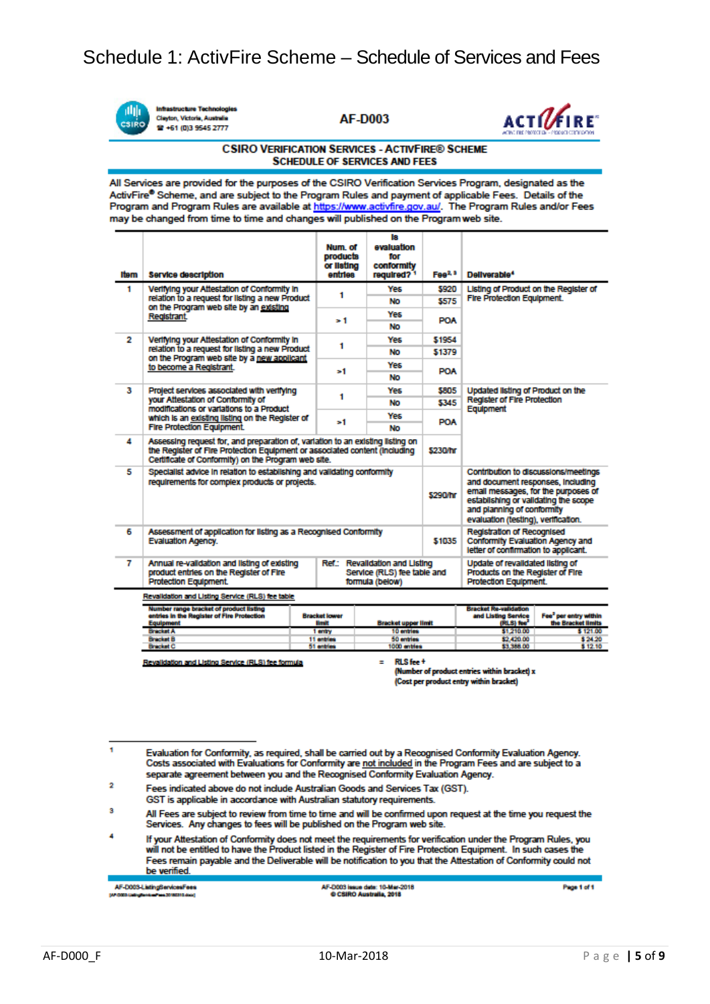

**Infrastructure Technologies** Clayton, Victoria, Austra <sup>2</sup> +61 (0)3 9545 2777

**AF-D003** 



#### **CSIRO VERIFICATION SERVICES - ACTIVEIRE® SCHEME SCHEDULE OF SERVICES AND FEES**

All Services are provided for the purposes of the CSIRO Verification Services Program, designated as the ActivFire® Scheme, and are subject to the Program Rules and payment of applicable Fees. Details of the Program and Program Rules are available at https://www.activfire.gov.au/. The Program Rules and/or Fees may be changed from time to time and changes will published on the Program web site.

| Item                                             | <b>Service description</b>                                                                                                                                                                                          | Num, of<br>products<br>or Ilsting<br>entries | ls.<br>evaluation<br>for<br>conformity<br>required? <sup>1</sup> | Fee <sup>2, 3</sup> | Deliverable <sup>4</sup>                                                                                                                                                                                                     |                                             |
|--------------------------------------------------|---------------------------------------------------------------------------------------------------------------------------------------------------------------------------------------------------------------------|----------------------------------------------|------------------------------------------------------------------|---------------------|------------------------------------------------------------------------------------------------------------------------------------------------------------------------------------------------------------------------------|---------------------------------------------|
| 1                                                | Verifying your Attestation of Conformity in<br>relation to a request for listing a new Product<br>on the Program web site by an existing<br>Registrant.                                                             | 1                                            | Yes                                                              | 5920                | Listing of Product on the Register of<br><b>Fire Protection Equipment.</b>                                                                                                                                                   |                                             |
|                                                  |                                                                                                                                                                                                                     |                                              | No                                                               | \$575               |                                                                                                                                                                                                                              |                                             |
|                                                  |                                                                                                                                                                                                                     | > 1                                          | Yes                                                              | POA                 |                                                                                                                                                                                                                              |                                             |
|                                                  |                                                                                                                                                                                                                     |                                              | No                                                               |                     |                                                                                                                                                                                                                              |                                             |
| 2                                                | Verifying your Attestation of Conformity in<br>relation to a request for listing a new Product<br>on the Program web site by a new apolicant<br>to become a Registrant.                                             | 1                                            | Yes                                                              | \$1954              |                                                                                                                                                                                                                              |                                             |
|                                                  |                                                                                                                                                                                                                     |                                              | No                                                               | \$1379              |                                                                                                                                                                                                                              |                                             |
|                                                  |                                                                                                                                                                                                                     | ъ1                                           | Yes                                                              | <b>POA</b>          |                                                                                                                                                                                                                              |                                             |
|                                                  |                                                                                                                                                                                                                     |                                              | No                                                               |                     |                                                                                                                                                                                                                              |                                             |
| з                                                | Project services associated with verifying<br>your Attestation of Conformity of<br>modifications or variations to a Product<br>which is an existing listing on the Register of                                      | 1                                            | <b>Yes</b>                                                       | \$805               | Updated listing of Product on the<br><b>Register of Fire Protection</b><br>Equipment                                                                                                                                         |                                             |
|                                                  |                                                                                                                                                                                                                     |                                              | No                                                               | \$345               |                                                                                                                                                                                                                              |                                             |
|                                                  |                                                                                                                                                                                                                     | >1                                           | Yes                                                              | <b>POA</b>          |                                                                                                                                                                                                                              |                                             |
|                                                  | <b>Fire Protection Equipment.</b>                                                                                                                                                                                   |                                              | No                                                               |                     |                                                                                                                                                                                                                              |                                             |
| 4                                                | Assessing request for, and preparation of, variation to an existing listing on<br>the Register of Fire Protection Equipment or associated content (including<br>Certificate of Conformity) on the Program web site. |                                              |                                                                  |                     |                                                                                                                                                                                                                              |                                             |
| 5                                                | Specialist advice in relation to establishing and validating conformity<br>requirements for complex products or projects.                                                                                           |                                              |                                                                  |                     | Contribution to discussions/meetings<br>and document responses, including<br>email messages, for the purposes of<br>establishing or validating the scope<br>and planning of conformity<br>evaluation (testing), vertication, |                                             |
| 6                                                | Assessment of application for listing as a Recognised Conformity<br>\$1035<br><b>Evaluation Agency.</b>                                                                                                             |                                              |                                                                  |                     | <b>Registration of Recognised</b><br>Conformity Evaluation Agency and<br>letter of contirmation to applicant.                                                                                                                |                                             |
| 7                                                | Annual re-validation and listing of existing<br>Ref.: Revalidation and Listing<br>product entries on the Register of Fire<br>Service (RLS) fee table and<br>Protection Equipment.<br>formula (below)                |                                              |                                                                  |                     | Update of revalidated listing of<br>Products on the Register of Fire<br><b>Protection Equipment.</b>                                                                                                                         |                                             |
| Revalidation and Listing Service (RLS) fee table |                                                                                                                                                                                                                     |                                              |                                                                  |                     |                                                                                                                                                                                                                              |                                             |
|                                                  | Number range bracket of product listing<br>entries in the Register of Fire Protection<br><b>Equipment</b>                                                                                                           | <b>Bracket lower</b><br><b>Hmit</b>          | <b>Bracket upper limit</b>                                       |                     | <b>Bracket Re-validation</b><br>and Listing Service<br>(RLS) fee <sup>*</sup>                                                                                                                                                | Fee" per entry within<br>the Bracket limits |

Revalidation and Listing Service (RLS) fee formula

RLS fee +

10 entries

50 entrie

 $\frac{300}{1000}$ 

 $\equiv$ 

(Number of product entries within bracket) x (Cost per product entry within bracket)

\$1,210.00

12,420.00<br>13.388.00

h Evaluation for Conformity, as required, shall be carried out by a Recognised Conformity Evaluation Agency.<br>Costs associated with Evaluations for Conformity are not included in the Program Fees and are subject to a separate agreement between you and the Recognised Conformity Evaluation Agency.

1 entry

GST is applicable in accordance with Australian statutory requirements.

3 All Fees are subject to review from time to time and will be confirmed upon request at the time you request the Services. Any changes to fees will be published on the Program web site.

If your Attestation of Conformity does not meet the requirements for verification under the Program Rules, you will not be entitled to have the Product listed in the Register of Fire Protection Equipment. In such cases the Fees remain payable and the Deliverable will be notification to you that the Attestation of Conformity could not be verified.

AF-D003-ListingServicesFees

Page 1 of 1

\$121.00

\$24.20<br>\$12.10

 $\overline{2}$ Fees indicated above do not include Australian Goods and Services Tax (GST).

AF-D003 issue date: 10-Mar-2018<br>© CSIRO Australia, 2018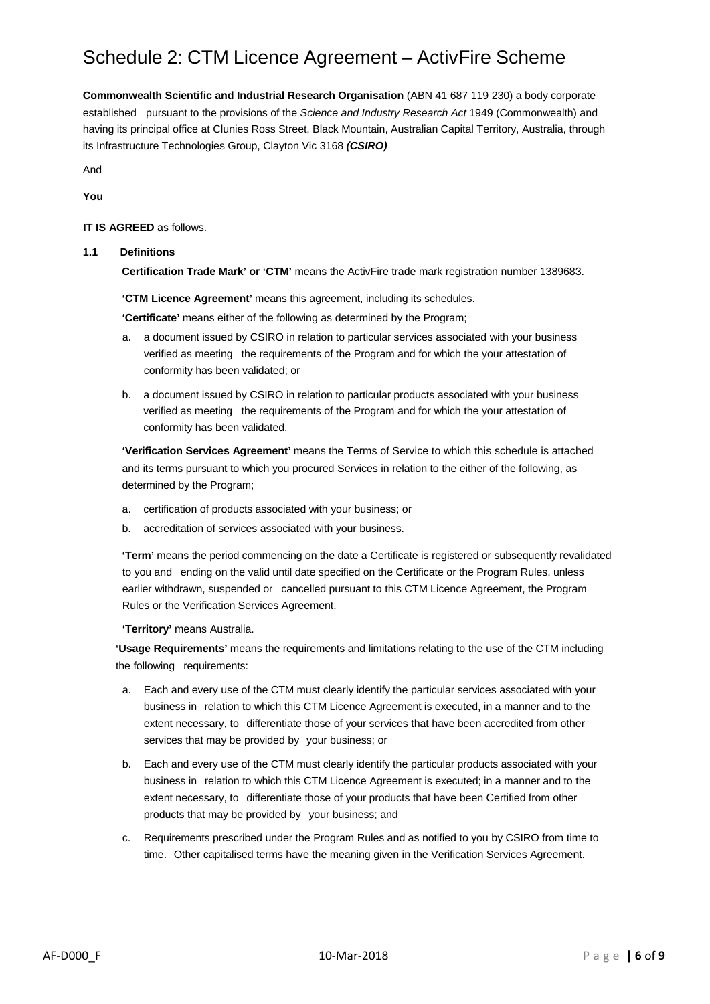# Schedule 2: CTM Licence Agreement – ActivFire Scheme

**Commonwealth Scientific and Industrial Research Organisation** (ABN 41 687 119 230) a body corporate established pursuant to the provisions of the *Science and Industry Research Act* 1949 (Commonwealth) and having its principal office at Clunies Ross Street, Black Mountain, Australian Capital Territory, Australia, through its Infrastructure Technologies Group, Clayton Vic 3168 *(CSIRO)*

And **You**

## **IT IS AGREED** as follows.

## **1.1 Definitions**

**Certification Trade Mark' or 'CTM'** means the ActivFire trade mark registration number 1389683.

**'CTM Licence Agreement'** means this agreement, including its schedules.

**'Certificate'** means either of the following as determined by the Program;

- a. a document issued by CSIRO in relation to particular services associated with your business verified as meeting the requirements of the Program and for which the your attestation of conformity has been validated; or
- b. a document issued by CSIRO in relation to particular products associated with your business verified as meeting the requirements of the Program and for which the your attestation of conformity has been validated.

**'Verification Services Agreement'** means the Terms of Service to which this schedule is attached and its terms pursuant to which you procured Services in relation to the either of the following, as determined by the Program;

- a. certification of products associated with your business; or
- b. accreditation of services associated with your business.

**'Term'** means the period commencing on the date a Certificate is registered or subsequently revalidated to you and ending on the valid until date specified on the Certificate or the Program Rules, unless earlier withdrawn, suspended or cancelled pursuant to this CTM Licence Agreement, the Program Rules or the Verification Services Agreement.

**'Territory'** means Australia.

**'Usage Requirements'** means the requirements and limitations relating to the use of the CTM including the following requirements:

- a. Each and every use of the CTM must clearly identify the particular services associated with your business in relation to which this CTM Licence Agreement is executed, in a manner and to the extent necessary, to differentiate those of your services that have been accredited from other services that may be provided by your business; or
- b. Each and every use of the CTM must clearly identify the particular products associated with your business in relation to which this CTM Licence Agreement is executed; in a manner and to the extent necessary, to differentiate those of your products that have been Certified from other products that may be provided by your business; and
- c. Requirements prescribed under the Program Rules and as notified to you by CSIRO from time to time. Other capitalised terms have the meaning given in the Verification Services Agreement.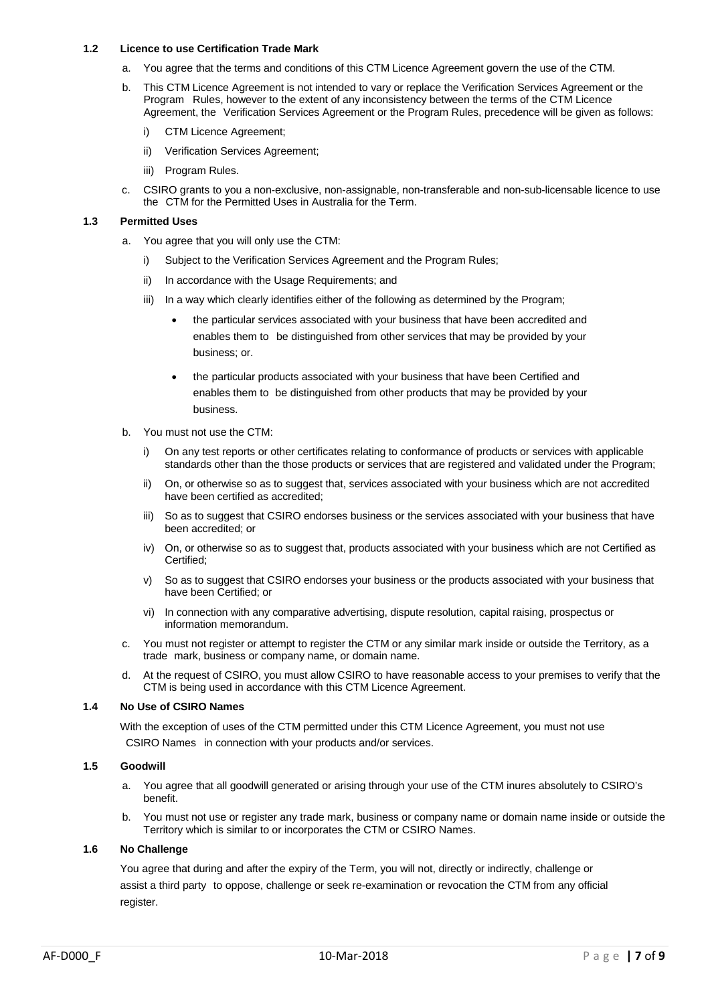#### **1.2 Licence to use Certification Trade Mark**

- a. You agree that the terms and conditions of this CTM Licence Agreement govern the use of the CTM.
- b. This CTM Licence Agreement is not intended to vary or replace the Verification Services Agreement or the Program Rules, however to the extent of any inconsistency between the terms of the CTM Licence Agreement, the Verification Services Agreement or the Program Rules, precedence will be given as follows:
	- i) CTM Licence Agreement;
	- ii) Verification Services Agreement;
	- iii) Program Rules.
- c. CSIRO grants to you a non-exclusive, non-assignable, non-transferable and non-sub-licensable licence to use the CTM for the Permitted Uses in Australia for the Term.

#### **1.3 Permitted Uses**

- a. You agree that you will only use the CTM:
	- i) Subject to the Verification Services Agreement and the Program Rules;
	- ii) In accordance with the Usage Requirements; and
	- iii) In a way which clearly identifies either of the following as determined by the Program;
		- the particular services associated with your business that have been accredited and enables them to be distinguished from other services that may be provided by your business; or.
		- the particular products associated with your business that have been Certified and enables them to be distinguished from other products that may be provided by your business.
- b. You must not use the CTM:
	- i) On any test reports or other certificates relating to conformance of products or services with applicable standards other than the those products or services that are registered and validated under the Program;
	- ii) On, or otherwise so as to suggest that, services associated with your business which are not accredited have been certified as accredited;
	- iii) So as to suggest that CSIRO endorses business or the services associated with your business that have been accredited; or
	- iv) On, or otherwise so as to suggest that, products associated with your business which are not Certified as Certified;
	- v) So as to suggest that CSIRO endorses your business or the products associated with your business that have been Certified; or
	- vi) In connection with any comparative advertising, dispute resolution, capital raising, prospectus or information memorandum.
- c. You must not register or attempt to register the CTM or any similar mark inside or outside the Territory, as a trade mark, business or company name, or domain name.
- At the request of CSIRO, you must allow CSIRO to have reasonable access to your premises to verify that the CTM is being used in accordance with this CTM Licence Agreement.

#### **1.4 No Use of CSIRO Names**

With the exception of uses of the CTM permitted under this CTM Licence Agreement, you must not use CSIRO Names in connection with your products and/or services.

## **1.5 Goodwill**

- a. You agree that all goodwill generated or arising through your use of the CTM inures absolutely to CSIRO's benefit.
- b. You must not use or register any trade mark, business or company name or domain name inside or outside the Territory which is similar to or incorporates the CTM or CSIRO Names.

#### **1.6 No Challenge**

You agree that during and after the expiry of the Term, you will not, directly or indirectly, challenge or assist a third party to oppose, challenge or seek re-examination or revocation the CTM from any official register.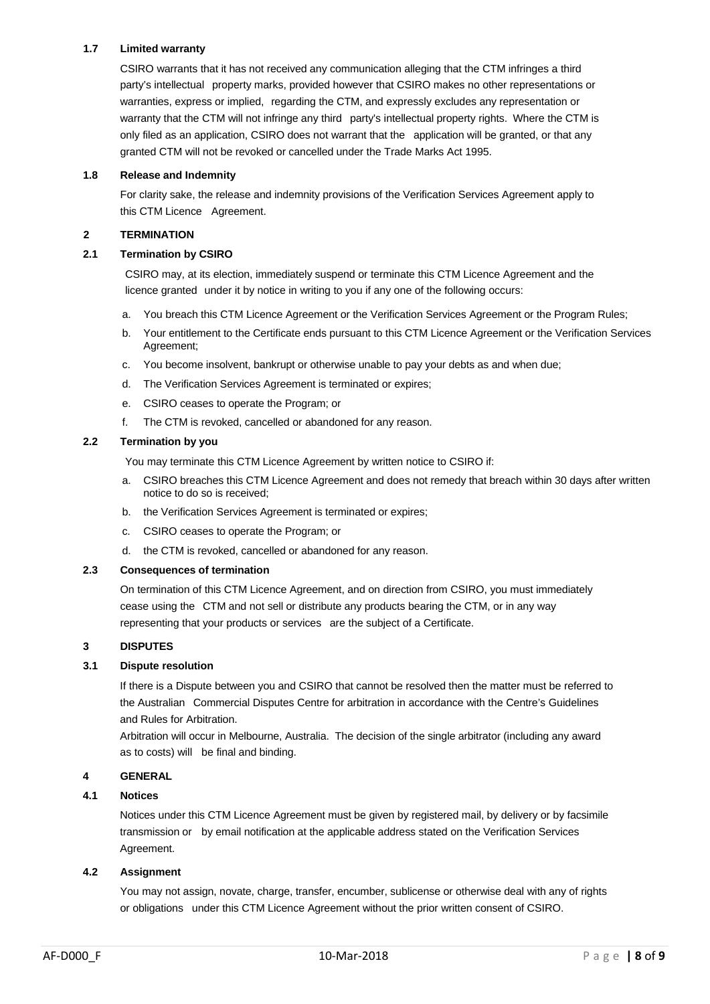# **1.7 Limited warranty**

CSIRO warrants that it has not received any communication alleging that the CTM infringes a third party's intellectual property marks, provided however that CSIRO makes no other representations or warranties, express or implied, regarding the CTM, and expressly excludes any representation or warranty that the CTM will not infringe any third party's intellectual property rights. Where the CTM is only filed as an application, CSIRO does not warrant that the application will be granted, or that any granted CTM will not be revoked or cancelled under the Trade Marks Act 1995.

## **1.8 Release and Indemnity**

For clarity sake, the release and indemnity provisions of the Verification Services Agreement apply to this CTM Licence Agreement.

#### **2 TERMINATION**

#### **2.1 Termination by CSIRO**

CSIRO may, at its election, immediately suspend or terminate this CTM Licence Agreement and the licence granted under it by notice in writing to you if any one of the following occurs:

- a. You breach this CTM Licence Agreement or the Verification Services Agreement or the Program Rules;
- b. Your entitlement to the Certificate ends pursuant to this CTM Licence Agreement or the Verification Services Agreement;
- c. You become insolvent, bankrupt or otherwise unable to pay your debts as and when due;
- d. The Verification Services Agreement is terminated or expires;
- e. CSIRO ceases to operate the Program; or
- f. The CTM is revoked, cancelled or abandoned for any reason.

#### **2.2 Termination by you**

You may terminate this CTM Licence Agreement by written notice to CSIRO if:

- a. CSIRO breaches this CTM Licence Agreement and does not remedy that breach within 30 days after written notice to do so is received;
- b. the Verification Services Agreement is terminated or expires;
- c. CSIRO ceases to operate the Program; or
- d. the CTM is revoked, cancelled or abandoned for any reason.

#### **2.3 Consequences of termination**

On termination of this CTM Licence Agreement, and on direction from CSIRO, you must immediately cease using the CTM and not sell or distribute any products bearing the CTM, or in any way representing that your products or services are the subject of a Certificate.

## **3 DISPUTES**

#### **3.1 Dispute resolution**

If there is a Dispute between you and CSIRO that cannot be resolved then the matter must be referred to the Australian Commercial Disputes Centre for arbitration in accordance with the Centre's Guidelines and Rules for Arbitration.

Arbitration will occur in Melbourne, Australia. The decision of the single arbitrator (including any award as to costs) will be final and binding.

## **4 GENERAL**

## **4.1 Notices**

Notices under this CTM Licence Agreement must be given by registered mail, by delivery or by facsimile transmission or by email notification at the applicable address stated on the Verification Services Agreement.

#### **4.2 Assignment**

You may not assign, novate, charge, transfer, encumber, sublicense or otherwise deal with any of rights or obligations under this CTM Licence Agreement without the prior written consent of CSIRO.